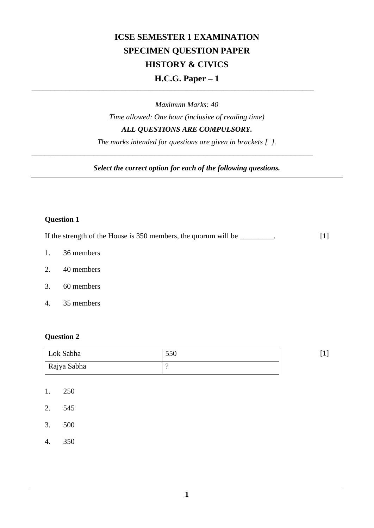# **ICSE SEMESTER 1 EXAMINATION SPECIMEN QUESTION PAPER HISTORY & CIVICS H.C.G. Paper – 1**

*Maximum Marks: 40 Time allowed: One hour (inclusive of reading time) ALL QUESTIONS ARE COMPULSORY.*

\_\_\_\_\_\_\_\_\_\_\_\_\_\_\_\_\_\_\_\_\_\_\_\_\_\_\_\_\_\_\_\_\_\_\_\_\_\_\_\_\_\_\_\_\_\_\_\_\_\_\_\_\_\_\_\_\_\_\_\_\_\_\_\_\_\_\_\_\_\_\_\_\_\_\_

*\_\_\_\_\_\_\_\_\_\_\_\_\_\_\_\_\_\_\_\_\_\_\_\_\_\_\_\_\_\_\_\_\_\_\_\_\_\_\_\_\_\_\_\_\_\_\_\_\_\_\_\_\_\_\_\_\_\_\_\_\_\_\_\_*

*The marks intended for questions are given in brackets [ ].*

*Select the correct option for each of the following questions.*

#### **Question 1**

If the strength of the House is 350 members, the quorum will be \_\_\_\_\_\_\_\_. [1]

- 1. 36 members
- 2. 40 members
- 3. 60 members
- 4. 35 members

### **Question 2**

| Lok Sabha   | 550 |  |
|-------------|-----|--|
| Rajya Sabha |     |  |

- 1. 250
- 2. 545
- 3. 500
- 4. 350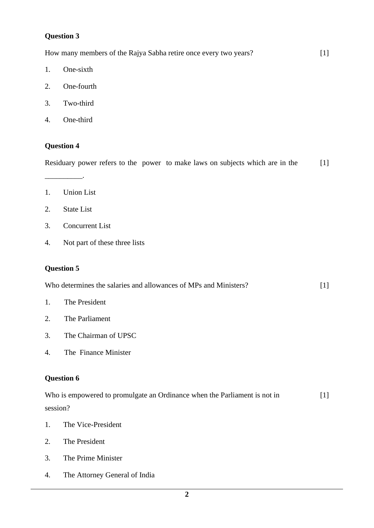### **Question 3**

| 1. | One-sixth                                                                     |       |
|----|-------------------------------------------------------------------------------|-------|
| 2. | One-fourth                                                                    |       |
| 3. | Two-third                                                                     |       |
| 4. | One-third                                                                     |       |
|    | <b>Question 4</b>                                                             |       |
|    | Residuary power refers to the power to make laws on subjects which are in the | $[1]$ |
| 1. | <b>Union List</b>                                                             |       |
| 2. | <b>State List</b>                                                             |       |
| 3. | <b>Concurrent List</b>                                                        |       |
| 4. | Not part of these three lists                                                 |       |
|    | <b>Question 5</b>                                                             |       |
|    | Who determines the salaries and allowances of MPs and Ministers?              | $[1]$ |
| 1. | The President                                                                 |       |
| 2. | The Parliament                                                                |       |
| 3. | The Chairman of UPSC                                                          |       |
| 4. | The Finance Minister                                                          |       |
|    | <b>Question 6</b>                                                             |       |
|    | Who is empowered to promulgate an Ordinance when the Parliament is not in     | $[1]$ |
|    | session?                                                                      |       |
| 1. | The Vice-President                                                            |       |
| 2. | The President                                                                 |       |
| 3. | The Prime Minister                                                            |       |
| 4. | The Attorney General of India                                                 |       |

How many members of the Rajya Sabha retire once every two years? [1]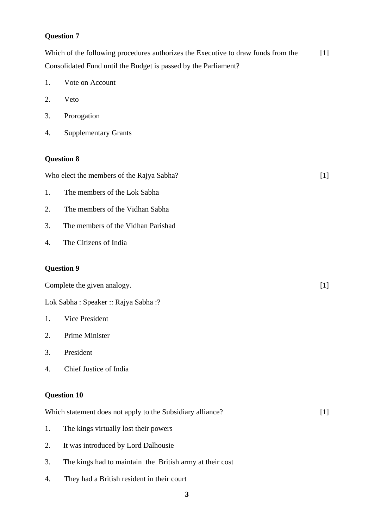#### **Question 7**

Which of the following procedures authorizes the Executive to draw funds from the Consolidated Fund until the Budget is passed by the Parliament? [1]

- 1. Vote on Account
- 2. Veto
- 3. Prorogation
- 4. Supplementary Grants

#### **Question 8**

Who elect the members of the Rajya Sabha? [1]

- 1. The members of the Lok Sabha
- 2. The members of the Vidhan Sabha
- 3. The members of the Vidhan Parishad
- 4. The Citizens of India

### **Question 9**

Complete the given analogy. Lok Sabha : Speaker :: Rajya Sabha :?  $[1]$ 1. 2. 3. 4. Vice President Prime Minister President Chief Justice of India **Question 10** Which statement does not apply to the Subsidiary alliance? [1] 1. 2. The kings virtually lost their powers It was introduced by Lord Dalhousie

- 3. The kings had to maintain the British army at their cost
- 4. They had a British resident in their court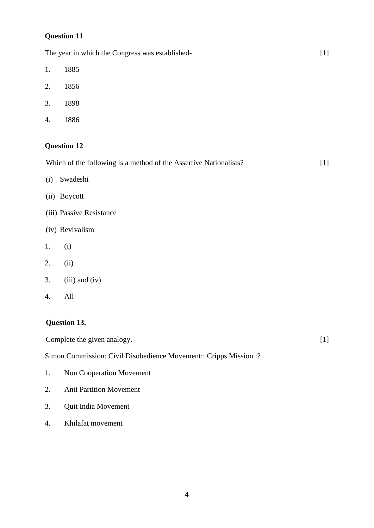### **Question 11**

|     | The year in which the Congress was established-                   | $[1]$ |
|-----|-------------------------------------------------------------------|-------|
| 1.  | 1885                                                              |       |
| 2.  | 1856                                                              |       |
| 3.  | 1898                                                              |       |
| 4.  | 1886                                                              |       |
|     | <b>Question 12</b>                                                |       |
|     | Which of the following is a method of the Assertive Nationalists? | $[1]$ |
| (i) | Swadeshi                                                          |       |
|     | (ii) Boycott                                                      |       |
|     | (iii) Passive Resistance                                          |       |
|     | (iv) Revivalism                                                   |       |
| 1.  | (i)                                                               |       |
| 2.  | (ii)                                                              |       |
| 3.  | $(iii)$ and $(iv)$                                                |       |
| 4.  | All                                                               |       |
|     | Question 13.                                                      |       |
|     | Complete the given analogy.                                       | $[1]$ |
|     | Simon Commission: Civil Disobedience Movement:: Cripps Mission :? |       |
| 1.  | Non Cooperation Movement                                          |       |

- 2. Anti Partition Movement
- 3. Quit India Movement
- 4. Khilafat movement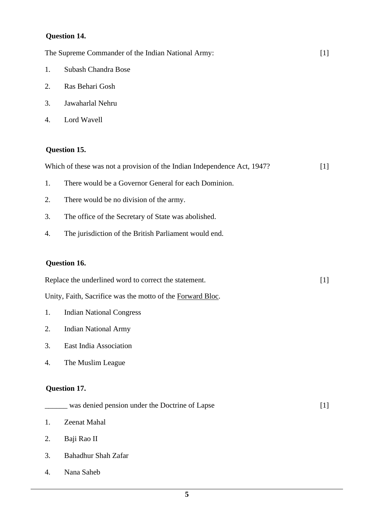### **Question 14.**

|    | The Supreme Commander of the Indian National Army:                       | $[1]$ |
|----|--------------------------------------------------------------------------|-------|
| 1. | Subash Chandra Bose                                                      |       |
| 2. | Ras Behari Gosh                                                          |       |
| 3. | Jawaharlal Nehru                                                         |       |
| 4. | Lord Wavell                                                              |       |
|    | Question 15.                                                             |       |
|    | Which of these was not a provision of the Indian Independence Act, 1947? | $[1]$ |
| 1. | There would be a Governor General for each Dominion.                     |       |
| 2. | There would be no division of the army.                                  |       |
| 3. | The office of the Secretary of State was abolished.                      |       |
| 4. | The jurisdiction of the British Parliament would end.                    |       |
|    | Question 16.                                                             |       |
|    | Replace the underlined word to correct the statement.                    | $[1]$ |
|    | Unity, Faith, Sacrifice was the motto of the Forward Bloc.               |       |
| 1. | <b>Indian National Congress</b>                                          |       |
| 2. | <b>Indian National Army</b>                                              |       |
| 3. | East India Association                                                   |       |
| 4. | The Muslim League                                                        |       |
|    | Question 17.                                                             |       |
|    | was denied pension under the Doctrine of Lapse                           | $[1]$ |
| 1. | Zeenat Mahal                                                             |       |
| 2. | Baji Rao II                                                              |       |
| 3. | Bahadhur Shah Zafar                                                      |       |
| 4. | Nana Saheb                                                               |       |
|    |                                                                          |       |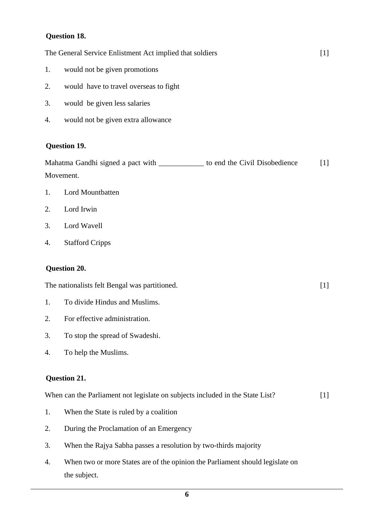### **Question 18.**

|           | The General Service Enlistment Act implied that soldiers                                      | $[1]$ |
|-----------|-----------------------------------------------------------------------------------------------|-------|
| 1.        | would not be given promotions                                                                 |       |
| 2.        | would have to travel overseas to fight                                                        |       |
| 3.        | would be given less salaries                                                                  |       |
| 4.        | would not be given extra allowance                                                            |       |
|           | Question 19.                                                                                  |       |
|           | Mahatma Gandhi signed a pact with _____________ to end the Civil Disobedience                 | $[1]$ |
| Movement. |                                                                                               |       |
| 1.        | Lord Mountbatten                                                                              |       |
| 2.        | Lord Irwin                                                                                    |       |
| 3.        | Lord Wavell                                                                                   |       |
| 4.        | <b>Stafford Cripps</b>                                                                        |       |
|           | Question 20.                                                                                  |       |
|           | The nationalists felt Bengal was partitioned.                                                 | $[1]$ |
| 1.        | To divide Hindus and Muslims.                                                                 |       |
| 2.        | For effective administration.                                                                 |       |
| 3.        | To stop the spread of Swadeshi.                                                               |       |
| 4.        | To help the Muslims.                                                                          |       |
|           | Question 21.                                                                                  |       |
|           | When can the Parliament not legislate on subjects included in the State List?                 | $[1]$ |
| 1.        | When the State is ruled by a coalition                                                        |       |
| 2.        | During the Proclamation of an Emergency                                                       |       |
| 3.        | When the Rajya Sabha passes a resolution by two-thirds majority                               |       |
| 4.        | When two or more States are of the opinion the Parliament should legislate on<br>the subject. |       |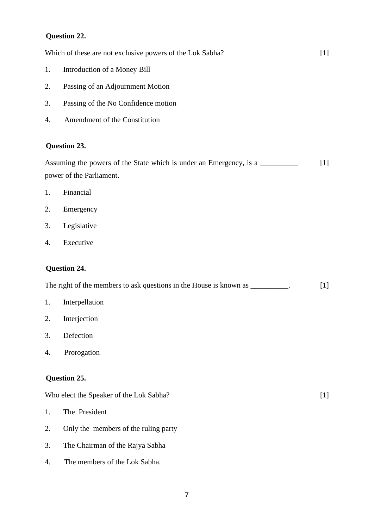### **Question 22.**

|    | Which of these are not exclusive powers of the Lok Sabha?                                      | $[1]$ |
|----|------------------------------------------------------------------------------------------------|-------|
| 1. | Introduction of a Money Bill                                                                   |       |
| 2. | Passing of an Adjournment Motion                                                               |       |
| 3. | Passing of the No Confidence motion                                                            |       |
| 4. | Amendment of the Constitution                                                                  |       |
|    | Question 23.                                                                                   |       |
|    | Assuming the powers of the State which is under an Emergency, is a<br>power of the Parliament. | $[1]$ |
| 1. | Financial                                                                                      |       |
| 2. | Emergency                                                                                      |       |
| 3. | Legislative                                                                                    |       |
| 4. | Executive                                                                                      |       |
|    | Question 24.                                                                                   |       |
|    | The right of the members to ask questions in the House is known as __________.                 | $[1]$ |
| 1. | Interpellation                                                                                 |       |
| 2. | Interjection                                                                                   |       |
| 3. | Defection                                                                                      |       |
| 4. | Prorogation                                                                                    |       |
|    | Question 25.                                                                                   |       |
|    | Who elect the Speaker of the Lok Sabha?                                                        | $[1]$ |
| 1. | The President                                                                                  |       |
| 2. | Only the members of the ruling party                                                           |       |
| 3. | The Chairman of the Rajya Sabha                                                                |       |
| 4. | The members of the Lok Sabha.                                                                  |       |
|    |                                                                                                |       |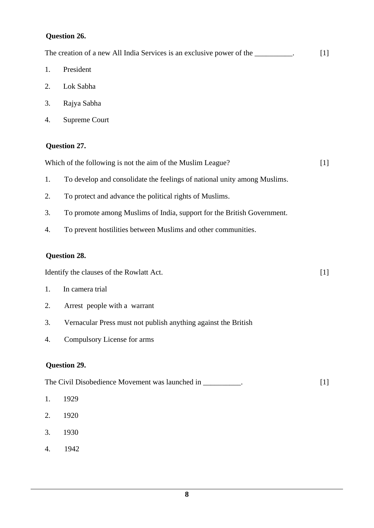### **Question 26.**

|    | The creation of a new All India Services is an exclusive power of the __________. | $[1]$ |
|----|-----------------------------------------------------------------------------------|-------|
| 1. | President                                                                         |       |
| 2. | Lok Sabha                                                                         |       |
| 3. | Rajya Sabha                                                                       |       |
| 4. | <b>Supreme Court</b>                                                              |       |
|    | Question 27.                                                                      |       |
|    | Which of the following is not the aim of the Muslim League?                       | $[1]$ |
| 1. | To develop and consolidate the feelings of national unity among Muslims.          |       |
| 2. | To protect and advance the political rights of Muslims.                           |       |
| 3. | To promote among Muslims of India, support for the British Government.            |       |
| 4. | To prevent hostilities between Muslims and other communities.                     |       |
|    | Question 28.                                                                      |       |
|    | Identify the clauses of the Rowlatt Act.                                          | $[1]$ |
| 1. | In camera trial                                                                   |       |
| 2. | Arrest people with a warrant                                                      |       |
| 3. | Vernacular Press must not publish anything against the British                    |       |
| 4. | Compulsory License for arms                                                       |       |
|    | Question 29.                                                                      |       |
|    | The Civil Disobedience Movement was launched in _________.                        | $[1]$ |
| 1. | 1929                                                                              |       |
| 2. | 1920                                                                              |       |

- 3. 1930
- 4. 1942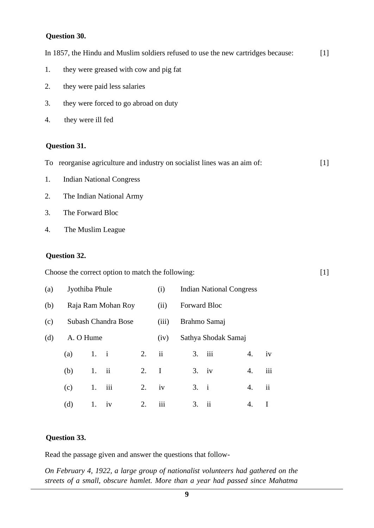#### **Question 30.**

|    | In 1857, the Hindu and Muslim soldiers refused to use the new cartridges because:<br>$[1]$ |       |  |  |
|----|--------------------------------------------------------------------------------------------|-------|--|--|
| 1. | they were greased with cow and pig fat                                                     |       |  |  |
| 2. | they were paid less salaries                                                               |       |  |  |
| 3. | they were forced to go abroad on duty                                                      |       |  |  |
| 4. | they were ill fed                                                                          |       |  |  |
|    |                                                                                            |       |  |  |
|    | <b>Question 31.</b>                                                                        |       |  |  |
|    | To reorganise agriculture and industry on socialist lines was an aim of:                   | $[1]$ |  |  |
| 1. | <b>Indian National Congress</b>                                                            |       |  |  |
| 2. | The Indian National Army                                                                   |       |  |  |
| 3. | The Forward Bloc                                                                           |       |  |  |
| 4. | The Muslim League                                                                          |       |  |  |
|    |                                                                                            |       |  |  |

[1]

### **Question 32.**

Choose the correct option to match the following:

| (a) | Jyothiba Phule      |      |                         |      | (i)                     | <b>Indian National Congress</b> |                     |    |                     |  |
|-----|---------------------|------|-------------------------|------|-------------------------|---------------------------------|---------------------|----|---------------------|--|
| (b) | Raja Ram Mohan Roy  |      |                         | (ii) | Forward Bloc            |                                 |                     |    |                     |  |
| (c) | Subash Chandra Bose |      |                         |      | (iii)                   | Brahmo Samaj                    |                     |    |                     |  |
| (d) | A. O Hume           |      |                         |      | (iv)                    |                                 | Sathya Shodak Samaj |    |                     |  |
|     | (a)                 | 1. i |                         | 2.   | $\overline{\mathbf{u}}$ | 3.                              | iii                 | 4. | iv                  |  |
|     | (b)                 | 1.   | $\overline{\mathbf{u}}$ | 2.   | I                       |                                 | $3.$ iv             | 4. | iii                 |  |
|     | (c)                 | 1.   | iii                     | 2.   | iv                      | 3.                              | $\mathbf{i}$        | 4. | $\ddot{\mathbf{i}}$ |  |
|     | (d)                 | 1.   | 1V                      | 2.   | 111                     | 3.                              | $\ddot{\mathbf{i}}$ | 4. |                     |  |

### **Question 33.**

Read the passage given and answer the questions that follow-

*On February 4, 1922, a large group of nationalist volunteers had gathered on the streets of a small, obscure hamlet. More than a year had passed since Mahatma*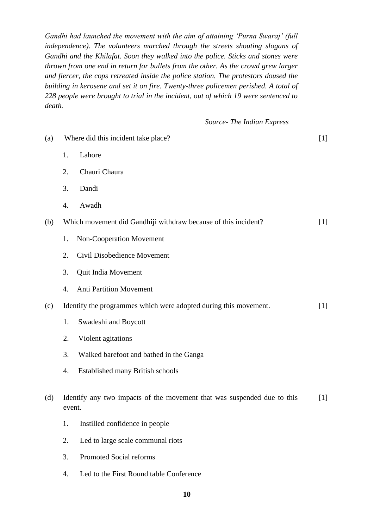*Gandhi had launched the movement with the aim of attaining 'Purna Swaraj' (full independence). The volunteers marched through the streets shouting slogans of Gandhi and the Khilafat. Soon they walked into the police. Sticks and stones were thrown from one end in return for bullets from the other. As the crowd grew larger and fiercer, the cops retreated inside the police station. The protestors doused the building in kerosene and set it on fire. Twenty-three policemen perished. A total of 228 people were brought to trial in the incident, out of which 19 were sentenced to death.*

 *Source- The Indian Express* 

| (a) | Where did this incident take place? |                                                                         |       |  |  |
|-----|-------------------------------------|-------------------------------------------------------------------------|-------|--|--|
|     | 1.                                  | Lahore                                                                  |       |  |  |
|     | 2.                                  | Chauri Chaura                                                           |       |  |  |
|     | 3.                                  | Dandi                                                                   |       |  |  |
|     | 4.                                  | Awadh                                                                   |       |  |  |
| (b) |                                     | Which movement did Gandhiji withdraw because of this incident?          | $[1]$ |  |  |
|     | 1.                                  | Non-Cooperation Movement                                                |       |  |  |
|     | 2.                                  | Civil Disobedience Movement                                             |       |  |  |
|     | 3.                                  | Quit India Movement                                                     |       |  |  |
|     | 4.                                  | <b>Anti Partition Movement</b>                                          |       |  |  |
| (c) |                                     | Identify the programmes which were adopted during this movement.        | $[1]$ |  |  |
|     | 1.                                  | Swadeshi and Boycott                                                    |       |  |  |
|     | 2.                                  | Violent agitations                                                      |       |  |  |
|     | 3.                                  | Walked barefoot and bathed in the Ganga                                 |       |  |  |
|     | 4.                                  | <b>Established many British schools</b>                                 |       |  |  |
| (d) | event.                              | Identify any two impacts of the movement that was suspended due to this | $[1]$ |  |  |
|     | 1.                                  | Instilled confidence in people                                          |       |  |  |
|     | 2.                                  | Led to large scale communal riots                                       |       |  |  |
|     | 3.                                  | Promoted Social reforms                                                 |       |  |  |
|     | 4.                                  | Led to the First Round table Conference                                 |       |  |  |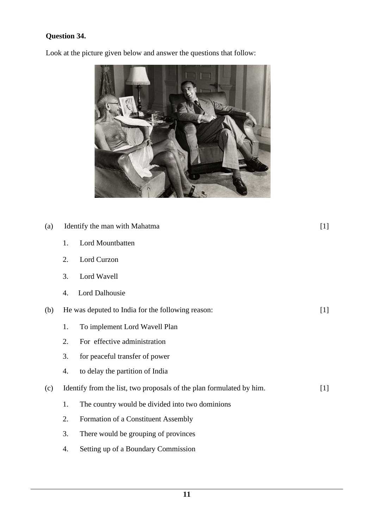## **Question 34.**

Look at the picture given below and answer the questions that follow:



| (a) |    | Identify the man with Mahatma<br>$[1]$                               |       |  |  |
|-----|----|----------------------------------------------------------------------|-------|--|--|
|     | 1. | Lord Mountbatten                                                     |       |  |  |
|     | 2. | Lord Curzon                                                          |       |  |  |
|     | 3. | Lord Wavell                                                          |       |  |  |
|     | 4. | <b>Lord Dalhousie</b>                                                |       |  |  |
| (b) |    | He was deputed to India for the following reason:                    | $[1]$ |  |  |
|     | 1. | To implement Lord Wavell Plan                                        |       |  |  |
|     | 2. | For effective administration                                         |       |  |  |
|     | 3. | for peaceful transfer of power                                       |       |  |  |
|     | 4. | to delay the partition of India                                      |       |  |  |
| (c) |    | Identify from the list, two proposals of the plan formulated by him. | $[1]$ |  |  |
|     | 1. | The country would be divided into two dominions                      |       |  |  |
|     | 2. | Formation of a Constituent Assembly                                  |       |  |  |
|     | 3. | There would be grouping of provinces                                 |       |  |  |
|     | 4. | Setting up of a Boundary Commission                                  |       |  |  |